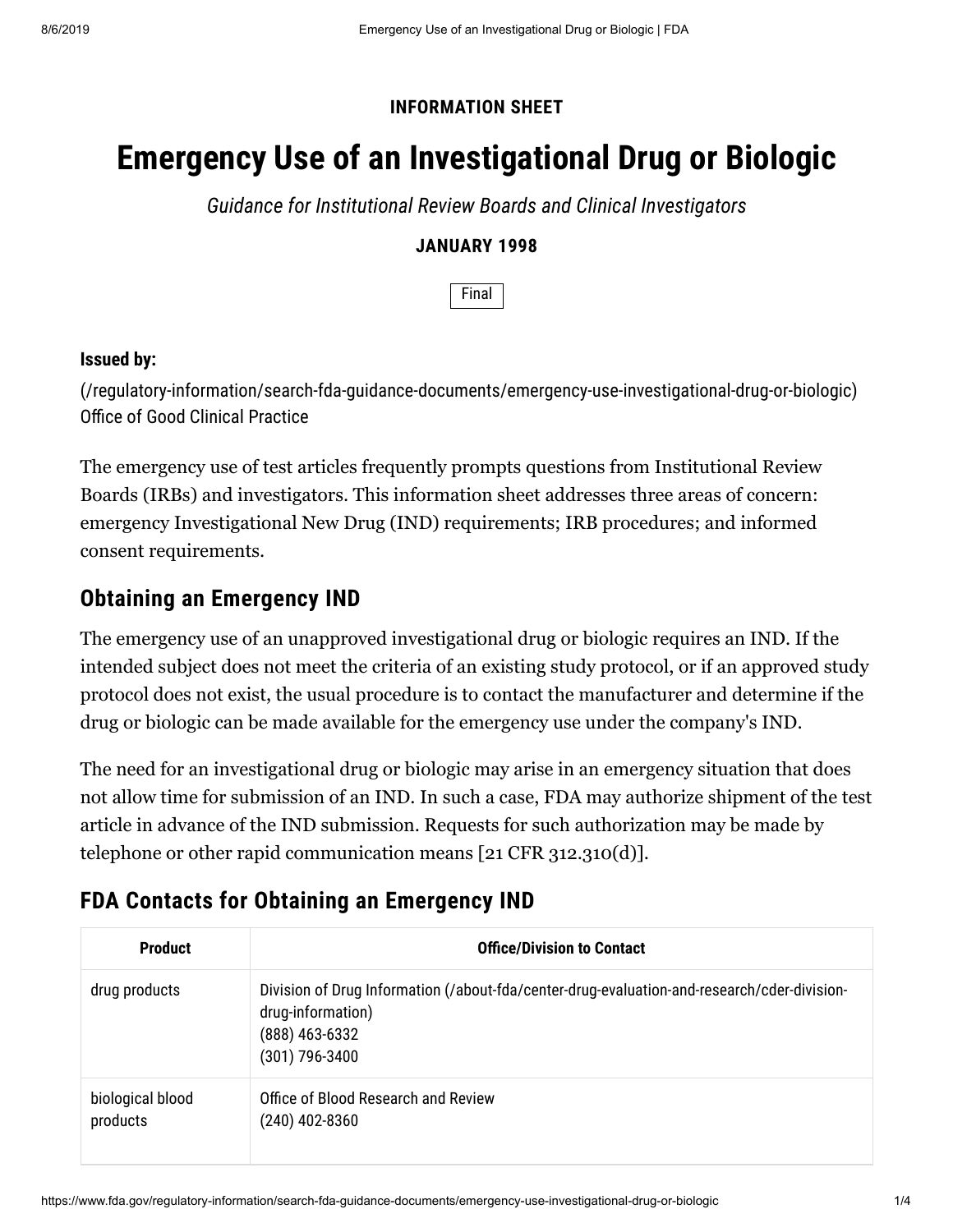### **INFORMATION SHEET**

# **Emergency Use of an Investigational Drug or Biologic**

*Guidance for Institutional Review Boards and Clinical Investigators*

#### **JANUARY 1998**

Final

#### **Issued by:**

[\(/regulatory-information/search-fda-guidance-documents/emergency-use-investigational-drug-or-biologic\)](https://www.fda.gov/regulatory-information/search-fda-guidance-documents/emergency-use-investigational-drug-or-biologic) Office of Good Clinical Practice

The emergency use of test articles frequently prompts questions from Institutional Review Boards (IRBs) and investigators. This information sheet addresses three areas of concern: emergency Investigational New Drug (IND) requirements; IRB procedures; and informed consent requirements.

### **Obtaining an Emergency IND**

The emergency use of an unapproved investigational drug or biologic requires an IND. If the intended subject does not meet the criteria of an existing study protocol, or if an approved study protocol does not exist, the usual procedure is to contact the manufacturer and determine if the drug or biologic can be made available for the emergency use under the company's IND.

The need for an investigational drug or biologic may arise in an emergency situation that does not allow time for submission of an IND. In such a case, FDA may authorize shipment of the test article in advance of the IND submission. Requests for such authorization may be made by telephone or other rapid communication means [21 CFR 312.310(d)].

# **FDA Contacts for Obtaining an Emergency IND**

| <b>Product</b>               | <b>Office/Division to Contact</b>                                                                                                                    |
|------------------------------|------------------------------------------------------------------------------------------------------------------------------------------------------|
| drug products                | Division of Drug Information (/about-fda/center-drug-evaluation-and-research/cder-division-<br>drug-information)<br>(888) 463-6332<br>(301) 796-3400 |
| biological blood<br>products | Office of Blood Research and Review<br>(240) 402-8360                                                                                                |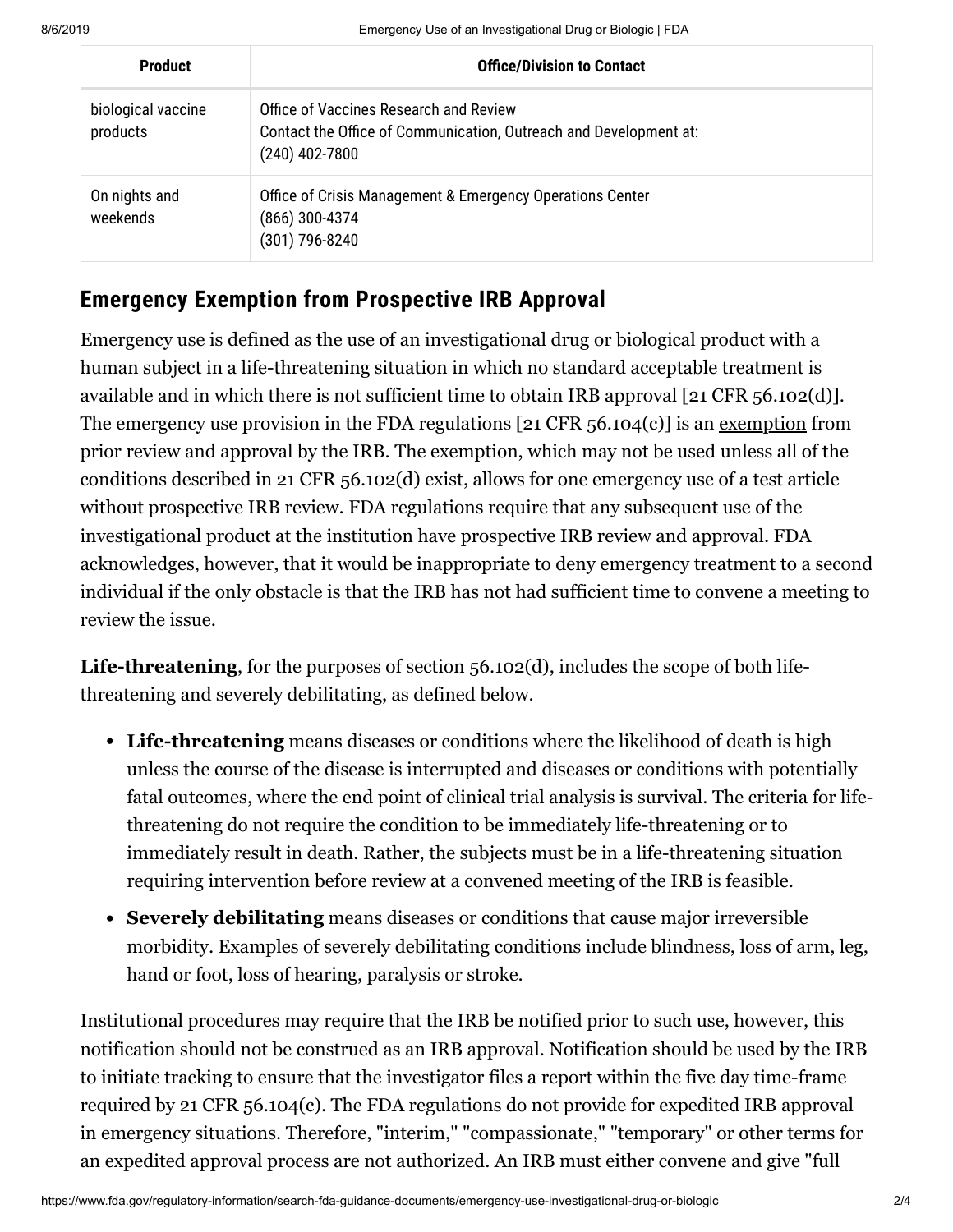| <b>Product</b>                 | <b>Office/Division to Contact</b>                                                                                               |
|--------------------------------|---------------------------------------------------------------------------------------------------------------------------------|
| biological vaccine<br>products | Office of Vaccines Research and Review<br>Contact the Office of Communication, Outreach and Development at:<br>$(240)$ 402-7800 |
| On nights and<br>weekends      | Office of Crisis Management & Emergency Operations Center<br>$(866)$ 300-4374<br>(301) 796-8240                                 |

## **Emergency Exemption from Prospective IRB Approval**

Emergency use is defined as the use of an investigational drug or biological product with a human subject in a life-threatening situation in which no standard acceptable treatment is available and in which there is not sufficient time to obtain IRB approval [21 CFR 56.102(d)]. The emergency use provision in the FDA regulations  $[21 \text{ CFR } 56.104(c)]$  is an exemption from prior review and approval by the IRB. The exemption, which may not be used unless all of the conditions described in 21 CFR 56.102(d) exist, allows for one emergency use of a test article without prospective IRB review. FDA regulations require that any subsequent use of the investigational product at the institution have prospective IRB review and approval. FDA acknowledges, however, that it would be inappropriate to deny emergency treatment to a second individual if the only obstacle is that the IRB has not had sufficient time to convene a meeting to review the issue.

**Life-threatening**, for the purposes of section 56.102(d), includes the scope of both lifethreatening and severely debilitating, as defined below.

- **Life-threatening** means diseases or conditions where the likelihood of death is high unless the course of the disease is interrupted and diseases or conditions with potentially fatal outcomes, where the end point of clinical trial analysis is survival. The criteria for lifethreatening do not require the condition to be immediately life-threatening or to immediately result in death. Rather, the subjects must be in a life-threatening situation requiring intervention before review at a convened meeting of the IRB is feasible.
- **Severely debilitating** means diseases or conditions that cause major irreversible morbidity. Examples of severely debilitating conditions include blindness, loss of arm, leg, hand or foot, loss of hearing, paralysis or stroke.

Institutional procedures may require that the IRB be notified prior to such use, however, this notification should not be construed as an IRB approval. Notification should be used by the IRB to initiate tracking to ensure that the investigator files a report within the five day time-frame required by 21 CFR 56.104(c). The FDA regulations do not provide for expedited IRB approval in emergency situations. Therefore, "interim," "compassionate," "temporary" or other terms for an expedited approval process are not authorized. An IRB must either convene and give "full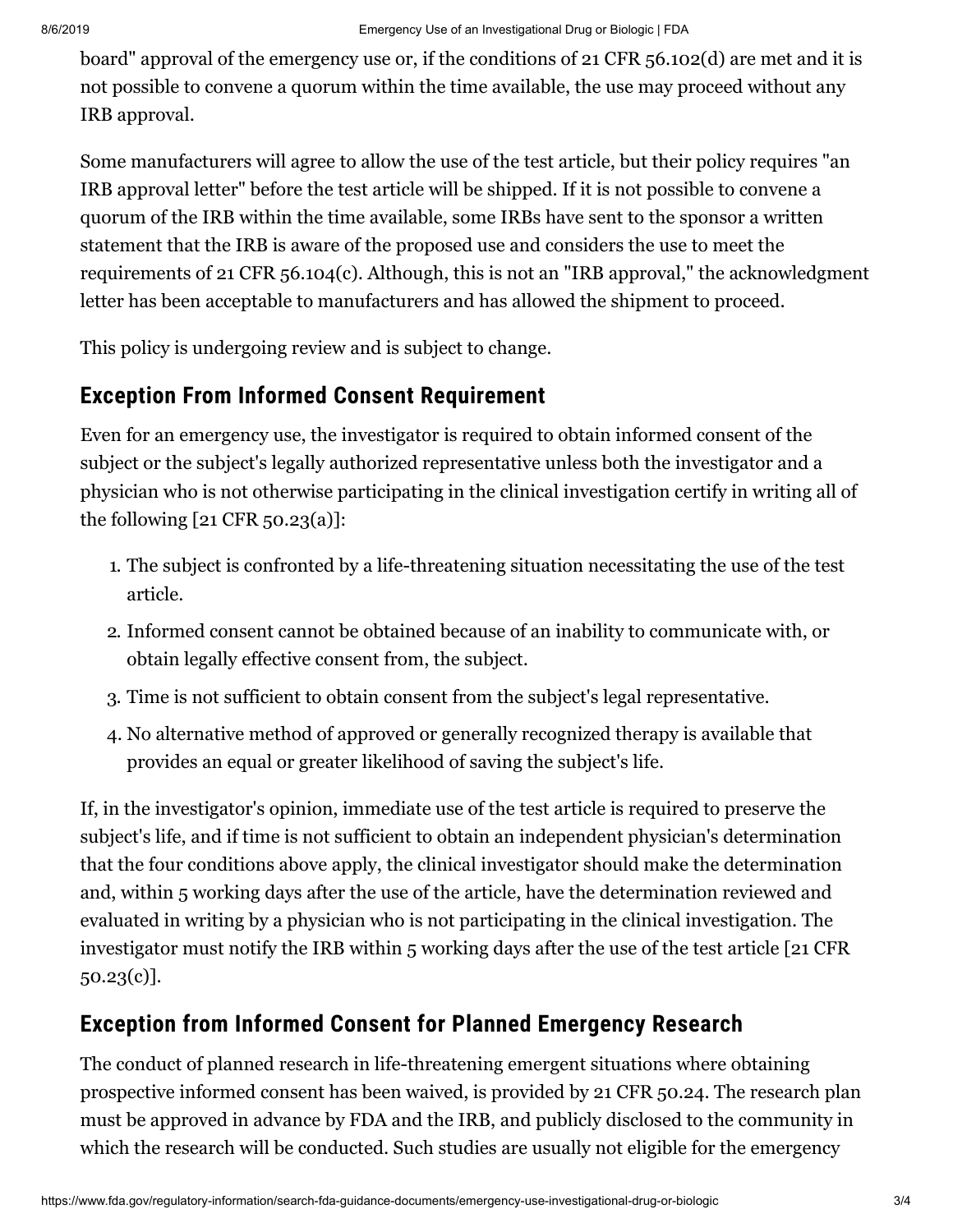board" approval of the emergency use or, if the conditions of 21 CFR 56.102(d) are met and it is not possible to convene a quorum within the time available, the use may proceed without any IRB approval.

Some manufacturers will agree to allow the use of the test article, but their policy requires "an IRB approval letter" before the test article will be shipped. If it is not possible to convene a quorum of the IRB within the time available, some IRBs have sent to the sponsor a written statement that the IRB is aware of the proposed use and considers the use to meet the requirements of 21 CFR 56.104(c). Although, this is not an "IRB approval," the acknowledgment letter has been acceptable to manufacturers and has allowed the shipment to proceed.

This policy is undergoing review and is subject to change.

### **Exception From Informed Consent Requirement**

Even for an emergency use, the investigator is required to obtain informed consent of the subject or the subject's legally authorized representative unless both the investigator and a physician who is not otherwise participating in the clinical investigation certify in writing all of the following [21 CFR 50.23(a)]:

- 1. The subject is confronted by a life-threatening situation necessitating the use of the test article.
- 2. Informed consent cannot be obtained because of an inability to communicate with, or obtain legally effective consent from, the subject.
- 3. Time is not sufficient to obtain consent from the subject's legal representative.
- 4. No alternative method of approved or generally recognized therapy is available that provides an equal or greater likelihood of saving the subject's life.

If, in the investigator's opinion, immediate use of the test article is required to preserve the subject's life, and if time is not sufficient to obtain an independent physician's determination that the four conditions above apply, the clinical investigator should make the determination and, within 5 working days after the use of the article, have the determination reviewed and evaluated in writing by a physician who is not participating in the clinical investigation. The investigator must notify the IRB within 5 working days after the use of the test article [21 CFR 50.23(c)].

# **Exception from Informed Consent for Planned Emergency Research**

The conduct of planned research in life-threatening emergent situations where obtaining prospective informed consent has been waived, is provided by 21 CFR 50.24. The research plan must be approved in advance by FDA and the IRB, and publicly disclosed to the community in which the research will be conducted. Such studies are usually not eligible for the emergency